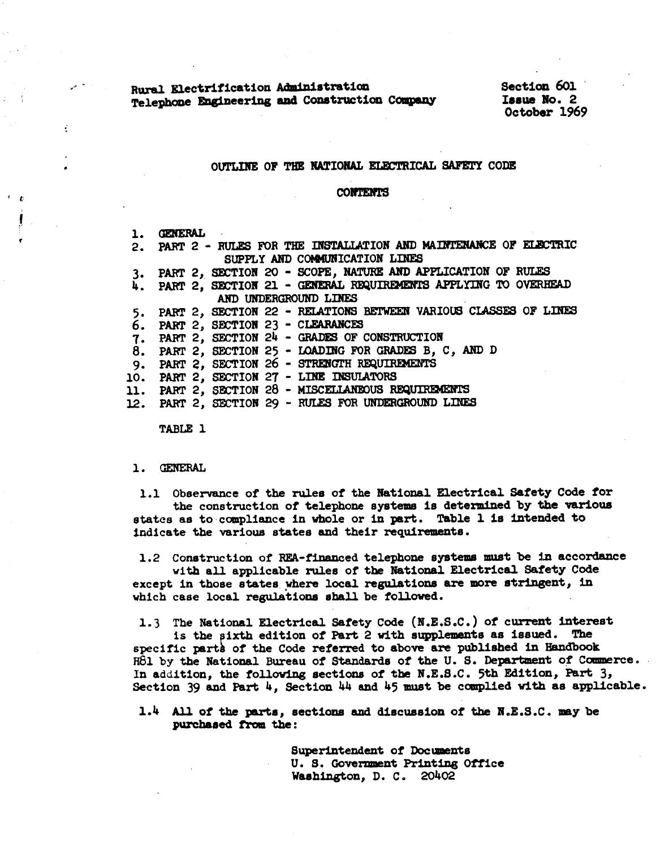Rural Electrification Administration Telephone Engineering and Construction Company **Section 601** Issue No. 2 October 1969

### OUTLINE OF THE NATIONAL ELECTRICAL SAFETY CODE

#### **CONTENTS**

1. GENERAL 2. PART 2 - RULES FOR THE INSTALLATION AND MAINTENANCE OF ELECTRIC SUPPLY AND COMMUNICATION LINES 3. PART 2, SECTION 20 - SCOPE, NATURE AND APPLICATION OF RULES 4. PART 2, SECTION 21 - GENERAL REQUIREMENTS APPLYING TO OVERHEAD AND UNDERGROUND LINES 5. PART 2, SECTION 22 - RELATIONS BETWEEN VARIOUS CLASSES OF LINES 6. PART 2, SECTION 23 - CLEARANCES 7. PART 2, SECTION 24 - GRADES OF CONSTRUCTION 8. PART 2, SECTION 25 - LOADING FOR GRADES B, C, AND D 9. PART 2, SECTION 26 - STRENGTH REQUIREMENTS 10. PART 2, SECTION 27 - LINE INSULATORS 11. PART 2, SECTION 28 - MISCELLANEOUS REQUIREMENTS 12. PART 2, SECTION 29 - RULES FOR UNDERGROUND LINES

TABLE 1

#### 1. GENERAL

b.

1.1 Observance of the rules of the National Electrical Safety Code for the construction of telephone systems is determined by the various states as to compliance in whole or in part. Table 1 is intended to indicate the various states and their requirements.

1.2 Construction of REA-financed telephone systems must be in accordance

with all applicable rules of the National Electrical Safety Code except in those states where local regulations are more stringent, in which case local regulations shall be followed.

1.3 The National Electrical Safety Code (N.E.S.C.) of current interest

is the sixth edition of Part 2 with supplements as issued. The specific parts of the Code referred to above are published in Handbook H61 by the National Bureau of Standards of the U.S. Department of Commerce. In addition, the following sections of the N.E.S.C. 5th Edition, Part 3, Section 39 and Part 4, Section 44 and 45 must be complied with as applicable.

1.4 All of the parts, sections and discussion of the N.E.S.C. may be purchased from the:

> Superintendent of Documents U. S. Government Printing Office Washington, D. C. 20402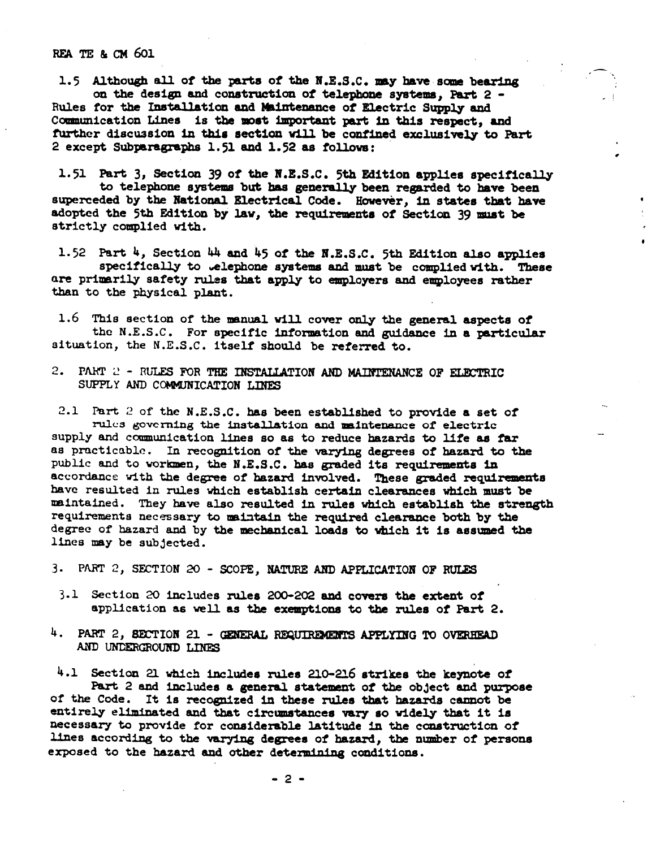REA TE & CM 601

1.5 Although all of the parts of the N.E.S.C. may have some bearing on the design and construction of telephone systems, Part 2 -Rules for the Installation and Maintenance of Electric Supply and Communication Lines is the most important part in this respect, and further discussion in this section will be confined exclusively to Part 2 except Subparagraphs 1.51 and 1.52 as follows:

1.51 Part 3, Section 39 of the N.E.S.C. 5th Edition applies specifically to telephone systems but has generally been regarded to have been superceded by the National Electrical Code. However, in states that have adopted the 5th Edition by law, the requirements of Section 39 must be strictly complied with.

1.52 Part 4, Section 44 and 45 of the N.E.S.C. 5th Edition also applies specifically to .elephone systems and must be complied with. These are primarily safety rules that apply to employers and employees rather than to the physical plant.

1.6 This section of the manual will cover only the general aspects of the N.E.S.C. For specific information and guidance in a particular situation, the N.E.S.C. itself should be referred to.

2. PART 2 - RULES FOR THE INSTALLATION AND MAINTENANCE OF ELECTRIC SUPPLY AND COMMUNICATION LINES

2.1 Part 2 of the N.E.S.C. has been established to provide a set of rules governing the installation and maintenance of electric supply and communication lines so as to reduce hazards to life as far as practicable. In recognition of the varying degrees of hazard to the public and to workmen, the N.E.S.C. has graded its requirements in accordance with the degree of hazard involved. These graded requirements have resulted in rules which establish certain clearances which must be maintained. They have also resulted in rules which establish the strength requirements necessary to maintain the required clearance both by the degree of hazard and by the mechanical loads to which it is assumed the lines may be subjected.

3. PART 2, SECTION 20 - SCOPE, NATURE AND APPLICATION OF RULES

- 3.1 Section 20 includes rules 200-202 and covers the extent of application as well as the exemptions to the rules of Part 2.
- 4. PART 2, SECTION 21 GENERAL REQUIREMENTS APPLYING TO OVERHEAD AND UNDERGROUND LINES

4.1 Section 21 which includes rules 210-216 strikes the keynote of Part 2 and includes a general statement of the object and purpose of the Code. It is recognized in these rules that hazards cannot be entirely eliminated and that circumstances vary so widely that it is necessary to provide for considerable latitude in the construction of lines according to the varying degrees of hazard, the number of persons exposed to the hazard and other determining conditions.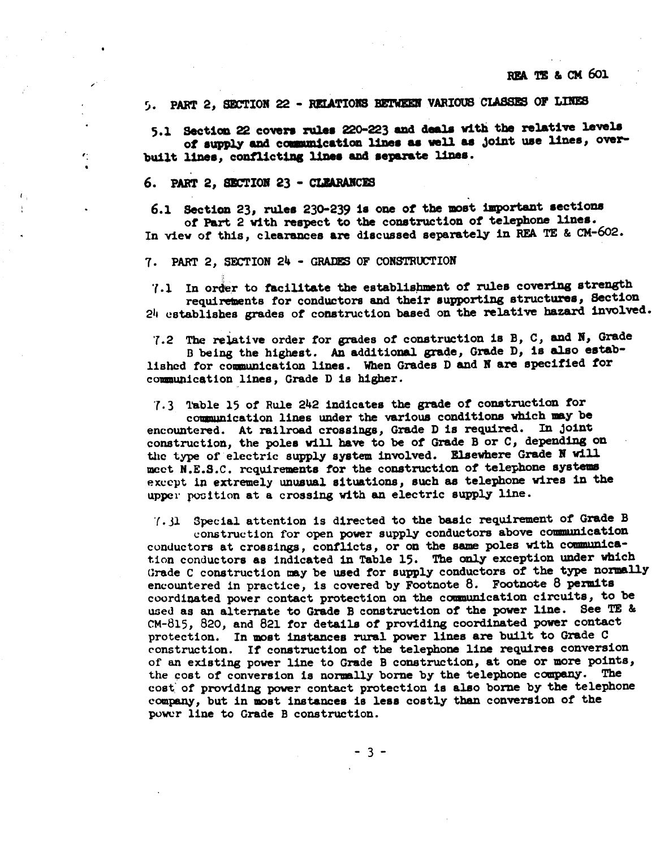5. PART 2, SECTION 22 - RELATIONS BETWEEN VARIOUS CLASSES OF LINES

5.1 Section 22 covers rules 220-223 and deals with the relative levels of supply and communication lines as well as joint use lines, overbuilt lines, conflicting lines and separate lines.

6. PART 2, SECTION 23 - CLEARANCES

 $\boldsymbol{\epsilon}$ 

6.1 Section 23, rules 230-239 is one of the most important sections of Part 2 with respect to the construction of telephone lines. In view of this, clearances are discussed separately in REA TE & CM-602.

7. PART 2, SECTION 24 - GRADES OF CONSTRUCTION

7.1 In order to facilitate the establishment of rules covering strength requirements for conductors and their supporting structures, Section 24 establishes grades of construction based on the relative hazard involved.

7.2 The relative order for grades of construction is B, C, and N, Grade B being the highest. An additional grade, Grade D, is also established for communication lines. When Grades D and N are specified for communication lines, Grade D is higher.

7.3 Table 15 of Rule 242 indicates the grade of construction for communication lines under the various conditions which may be encountered. At railroad crossings, Grade D is required. In joint construction, the poles will have to be of Grade B or C, depending on the type of electric supply system involved. Elsewhere Grade N will meet N.E.S.C. requirements for the construction of telephone systems except in extremely unusual situations, such as telephone wires in the upper position at a crossing with an electric supply line.

7.31 Special attention is directed to the basic requirement of Grade B construction for open power supply conductors above communication conductors at crossings, conflicts, or on the same poles with communication conductors as indicated in Table 15. The only exception under which Grade C construction may be used for supply conductors of the type normally encountered in practice, is covered by Footnote 8. Footnote 8 permits coordinated power contact protection on the communication circuits, to be used as an alternate to Grade B construction of the power line. See TE & CM-815, 820, and 821 for details of providing coordinated power contact protection. In most instances rural power lines are built to Grade C construction. If construction of the telephone line requires conversion of an existing power line to Grade B construction, at one or more points, the cost of conversion is normally borne by the telephone company. **The** cost of providing power contact protection is also borne by the telephone company, but in most instances is less costly than conversion of the power line to Grade B construction.

 $-3 -$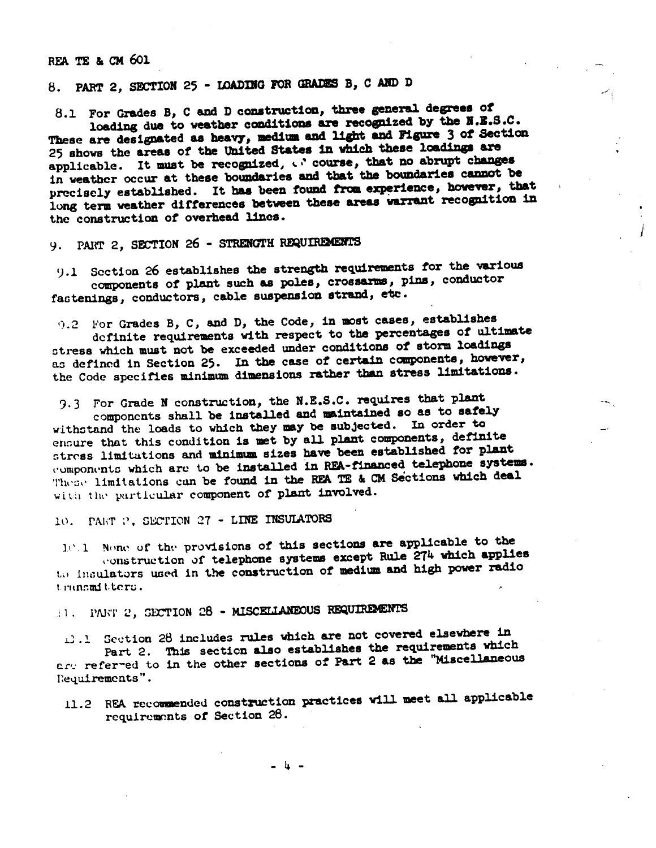### REA TE & CM 601

8. PART 2, SECTION 25 - LOADING FOR GRADES B, C AND D

8.1 For Grades B, C and D construction, three general degrees of loading due to weather conditions are recognized by the N.E.S.C. These are designated as heavy, medium and light and Figure 3 of Section 25 shows the areas of the United States in which these loadings are applicable. It must be recognized, we course, that no abrupt changes in weather occur at these boundaries and that the boundaries cannot be precisely established. It has been found from experience, however, that long term weather differences between these areas warrant recognition in the construction of overhead lines.

9. PART 2, SECTION 26 - STRENGTH REQUIREMENTS

9.1 Section 26 establishes the strength requirements for the various components of plant such as poles, crossarms, pins, conductor fastenings, conductors, cable suspension strand, etc.

9.2 For Grades B, C, and D, the Code, in most cases, establishes definite requirements with respect to the percentages of ultimate stress which must not be exceeded under conditions of storm loadings as defined in Section 25. In the case of certain components, however, the Code specifies minimum dimensions rather than stress limitations.

9.3 For Grade N construction, the N.E.S.C. requires that plant components shall be installed and maintained so as to safely withstand the loads to which they may be subjected. In order to ensure that this condition is met by all plant components, definite stress limitations and minimum sizes have been established for plant components which are to be installed in REA-financed telephone systems. These limitations can be found in the REA TE & CM Sections which deal with the particular component of plant involved.

10. PART 2, SECTION 27 - LINE INSULATORS

10.1 None of the provisions of this sections are applicable to the construction of telephone systems except Rule 274 which applies to insulators used in the construction of medium and high power radio transmitters.

# **11. PART 2, SECTION 28 - MISCELLANEOUS REQUIREMENTS**

13.1 Section 28 includes rules which are not covered elsewhere in Part 2. This section also establishes the requirements which

are referred to in the other sections of Part 2 as the "Miscellaneous Requirements".

11.2 REA recommended construction practices will meet all applicable requirements of Section 28.

 $-4 -$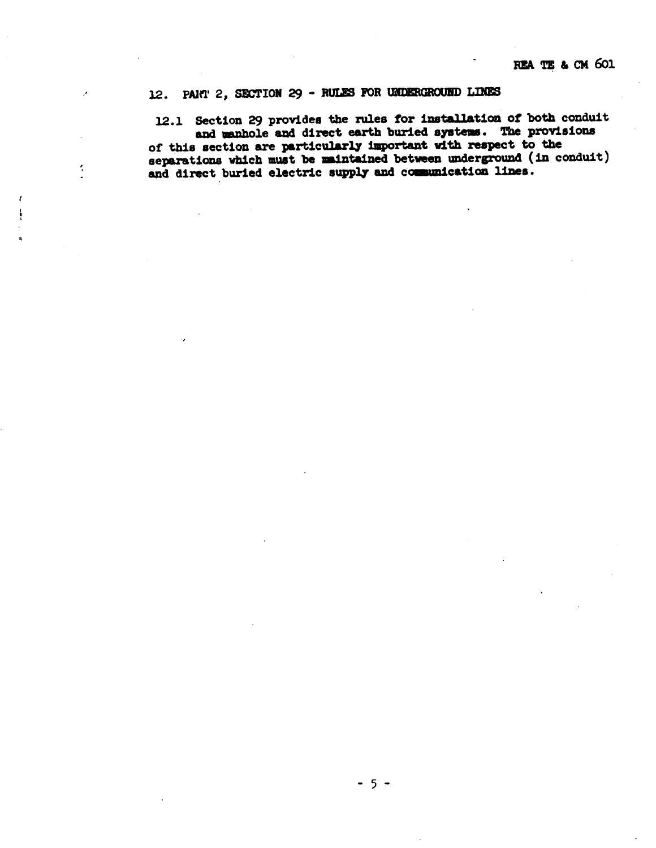# 12. PART 2, SECTION 29 - RULES FOR UNDERGROUND LINES

 $\pmb{\cdot}$ 

12.1 Section 29 provides the rules for installation of both conduit and manhole and direct earth buried systems. The provisions

of this section are particularly important with respect to the separations which must be maintained between underground (in conduit) and direct buried electric supply and communication lines.